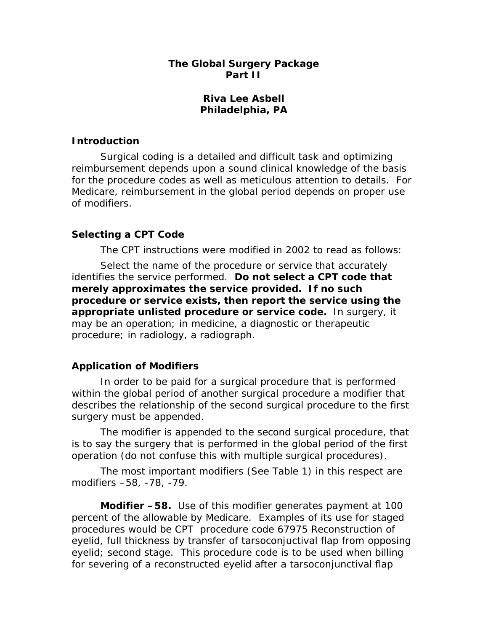## **The Global Surgery Package Part II**

## **Riva Lee Asbell Philadelphia, PA**

## **Introduction**

Surgical coding is a detailed and difficult task and optimizing reimbursement depends upon a sound clinical knowledge of the basis for the procedure codes as well as meticulous attention to details. For Medicare, reimbursement in the global period depends on proper use of modifiers.

# **Selecting a CPT Code**

The CPT instructions were modified in 2002 to read as follows:

*Select the name of the procedure or service that accurately identifies the service performed. Do not select a CPT code that merely approximates the service provided. If no such procedure or service exists, then report the service using the appropriate unlisted procedure or service code. In surgery, it may be an operation; in medicine, a diagnostic or therapeutic procedure; in radiology, a radiograph.* 

# **Application of Modifiers**

In order to be paid for a surgical procedure that is performed within the global period of another surgical procedure a modifier that describes the relationship of the second surgical procedure to the first surgery must be appended.

 The modifier is appended to the second surgical procedure, that is to say the surgery that is performed in the global period of the first operation (do not confuse this with multiple surgical procedures).

 The most important modifiers (See Table 1) in this respect are modifiers –58, -78, -79.

**Modifier –58.** Use of this modifier generates payment at 100 percent of the allowable by Medicare. Examples of its use for staged procedures would be CPT procedure code *67975 Reconstruction of eyelid, full thickness by transfer of tarsoconjuctival flap from opposing eyelid; second stage*. This procedure code is to be used when billing for severing of a reconstructed eyelid after a tarsoconjunctival flap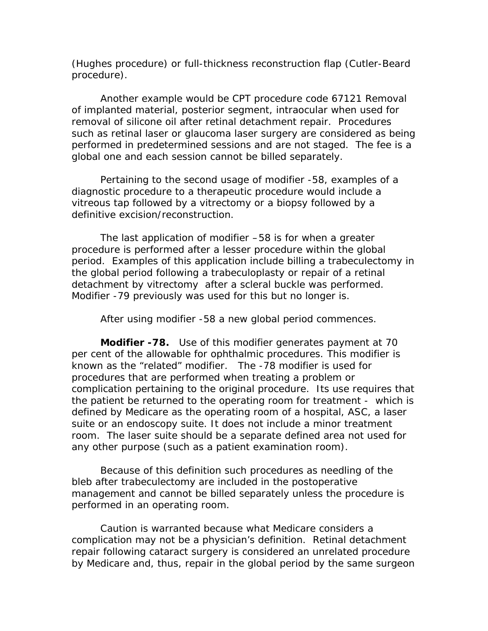(Hughes procedure) or full-thickness reconstruction flap (Cutler-Beard procedure).

Another example would be CPT procedure code *67121 Removal of implanted material, posterior segment, intraocular* when used for removal of silicone oil after retinal detachment repair. Procedures such as retinal laser or glaucoma laser surgery are considered as being performed in predetermined sessions and are not staged. The fee is a global one and each session cannot be billed separately.

 Pertaining to the second usage of modifier -58, examples of a diagnostic procedure to a therapeutic procedure would include a vitreous tap followed by a vitrectomy or a biopsy followed by a definitive excision/reconstruction.

The last application of modifier –58 is for when a greater procedure is performed after a lesser procedure within the global period. Examples of this application include billing a trabeculectomy in the global period following a trabeculoplasty or repair of a retinal detachment by vitrectomy after a scleral buckle was performed. Modifier -79 previously was used for this but no longer is.

After using modifier -58 a new global period commences.

**Modifier -78.** Use of this modifier generates payment at 70 per cent of the allowable for ophthalmic procedures. This modifier is known as the "related" modifier. The -78 modifier is used for procedures that are performed when treating a problem or complication pertaining to the original procedure. Its use requires that the patient be returned to the operating room for treatment - which is defined by Medicare as the operating room of a hospital, ASC, a laser suite or an endoscopy suite. It does not include a minor treatment room. The laser suite should be a separate defined area not used for any other purpose (such as a patient examination room).

Because of this definition such procedures as needling of the bleb after trabeculectomy are included in the postoperative management and cannot be billed separately unless the procedure is performed in an operating room.

Caution is warranted because what Medicare considers a complication may not be a physician's definition. Retinal detachment repair following cataract surgery is considered an unrelated procedure by Medicare and, thus, repair in the global period by the same surgeon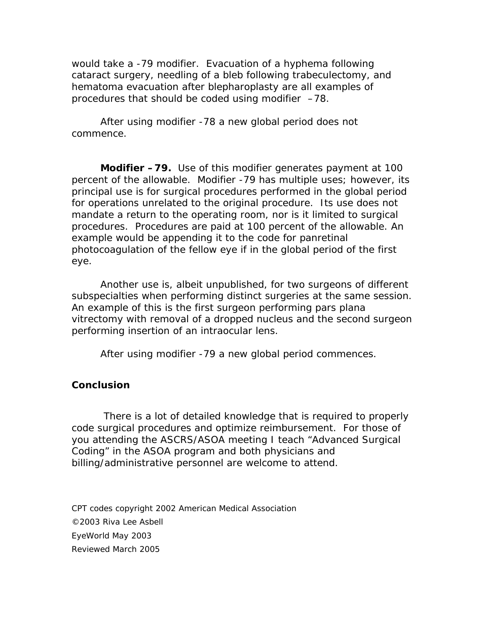would take a -79 modifier. Evacuation of a hyphema following cataract surgery, needling of a bleb following trabeculectomy, and hematoma evacuation after blepharoplasty are all examples of procedures that should be coded using modifier –78.

After using modifier -78 a new global period does not commence.

 **Modifier –79.** Use of this modifier generates payment at 100 percent of the allowable. Modifier -79 has multiple uses; however, its principal use is for surgical procedures performed in the global period for operations unrelated to the original procedure. Its use does not mandate a return to the operating room, nor is it limited to surgical procedures. Procedures are paid at 100 percent of the allowable. An example would be appending it to the code for panretinal photocoagulation of the fellow eye if in the global period of the first eye.

 Another use is, albeit unpublished, for two surgeons of different subspecialties when performing distinct surgeries at the same session. An example of this is the first surgeon performing pars plana vitrectomy with removal of a dropped nucleus and the second surgeon performing insertion of an intraocular lens.

After using modifier -79 a new global period commences.

#### **Conclusion**

 There is a lot of detailed knowledge that is required to properly code surgical procedures and optimize reimbursement. For those of you attending the ASCRS/ASOA meeting I teach "Advanced Surgical Coding" in the ASOA program and both physicians and billing/administrative personnel are welcome to attend.

CPT codes copyright 2002 American Medical Association ©2003 Riva Lee Asbell EyeWorld May 2003 Reviewed March 2005